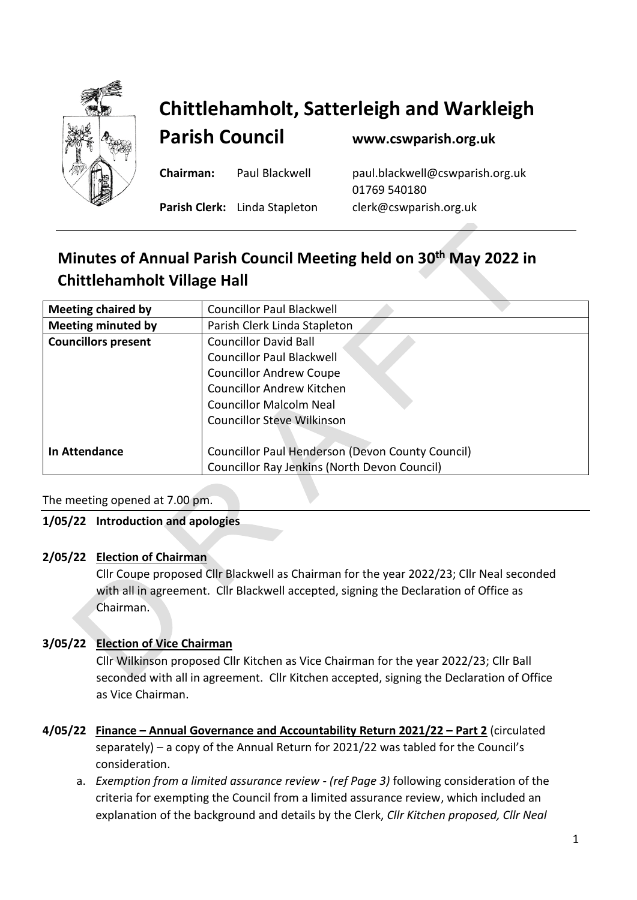

# **Chittlehamholt, Satterleigh and Warkleigh**

**Parish Council [www.cswparish.org.uk](http://www.cswparish.org.uk/)**

**Parish Clerk:** Linda Stapleton [clerk@cswparish.org.uk](mailto:clerk@cswparish.org.uk)

**Chairman:** Paul Blackwell [paul.blackwell@cswparish.org.uk](mailto:paul.blackwell@cswparish.org.uk) 01769 540180

## **Minutes of Annual Parish Council Meeting held on 30 th May 2022 in Chittlehamholt Village Hall**

| <b>Meeting chaired by</b>  | <b>Councillor Paul Blackwell</b>                        |
|----------------------------|---------------------------------------------------------|
| <b>Meeting minuted by</b>  | Parish Clerk Linda Stapleton                            |
| <b>Councillors present</b> | <b>Councillor David Ball</b>                            |
|                            | <b>Councillor Paul Blackwell</b>                        |
|                            | <b>Councillor Andrew Coupe</b>                          |
|                            | <b>Councillor Andrew Kitchen</b>                        |
|                            | <b>Councillor Malcolm Neal</b>                          |
|                            | <b>Councillor Steve Wilkinson</b>                       |
|                            |                                                         |
| <b>In Attendance</b>       | <b>Councillor Paul Henderson (Devon County Council)</b> |
|                            | Councillor Ray Jenkins (North Devon Council)            |
|                            |                                                         |

#### The meeting opened at 7.00 pm.

#### **1/05/22 Introduction and apologies**

#### **2/05/22 Election of Chairman**

Cllr Coupe proposed Cllr Blackwell as Chairman for the year 2022/23; Cllr Neal seconded with all in agreement. Cllr Blackwell accepted, signing the Declaration of Office as Chairman.

### **3/05/22 Election of Vice Chairman**

Cllr Wilkinson proposed Cllr Kitchen as Vice Chairman for the year 2022/23; Cllr Ball seconded with all in agreement. Cllr Kitchen accepted, signing the Declaration of Office as Vice Chairman.

- **4/05/22 Finance – Annual Governance and Accountability Return 2021/22 – Part 2** (circulated separately) – a copy of the Annual Return for 2021/22 was tabled for the Council's consideration.
	- a. *Exemption from a limited assurance review (ref Page 3)* following consideration of the criteria for exempting the Council from a limited assurance review, which included an explanation of the background and details by the Clerk, *Cllr Kitchen proposed, Cllr Neal*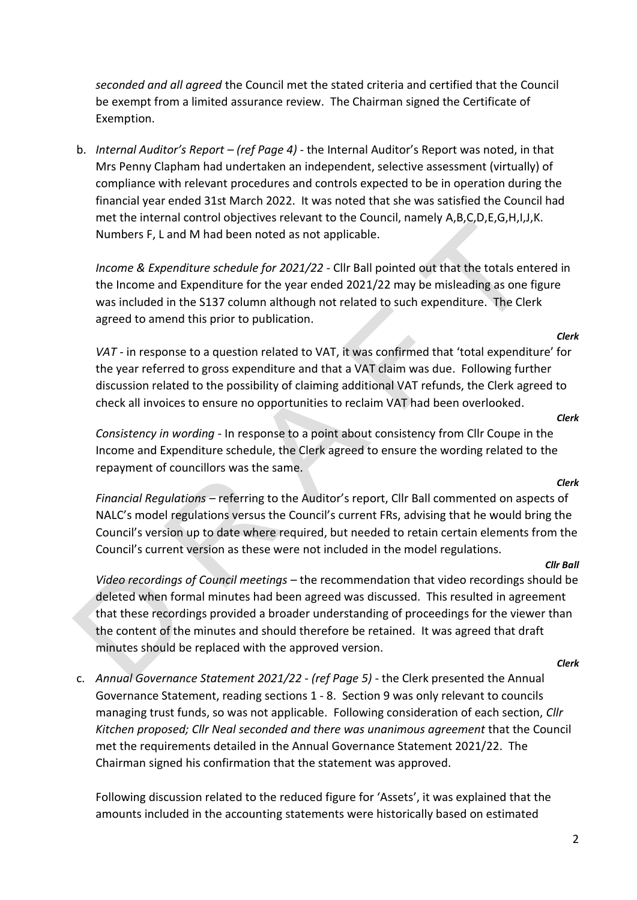*seconded and all agreed* the Council met the stated criteria and certified that the Council be exempt from a limited assurance review. The Chairman signed the Certificate of Exemption.

b. *Internal Auditor's Report – (ref Page 4) -* the Internal Auditor's Report was noted, in that Mrs Penny Clapham had undertaken an independent, selective assessment (virtually) of compliance with relevant procedures and controls expected to be in operation during the financial year ended 31st March 2022. It was noted that she was satisfied the Council had met the internal control objectives relevant to the Council, namely A,B,C,D,E,G,H,I,J,K. Numbers F, L and M had been noted as not applicable.

*Income & Expenditure schedule for 2021/22 -* Cllr Ball pointed out that the totals entered in the Income and Expenditure for the year ended 2021/22 may be misleading as one figure was included in the S137 column although not related to such expenditure. The Clerk agreed to amend this prior to publication.

*VAT -* in response to a question related to VAT, it was confirmed that 'total expenditure' for the year referred to gross expenditure and that a VAT claim was due. Following further discussion related to the possibility of claiming additional VAT refunds, the Clerk agreed to check all invoices to ensure no opportunities to reclaim VAT had been overlooked.

*Consistency in wording -* In response to a point about consistency from Cllr Coupe in the Income and Expenditure schedule, the Clerk agreed to ensure the wording related to the repayment of councillors was the same.

*Financial Regulations –* referring to the Auditor's report, Cllr Ball commented on aspects of NALC's model regulations versus the Council's current FRs, advising that he would bring the Council's version up to date where required, but needed to retain certain elements from the Council's current version as these were not included in the model regulations.

*Video recordings of Council meetings –* the recommendation that video recordings should be deleted when formal minutes had been agreed was discussed. This resulted in agreement that these recordings provided a broader understanding of proceedings for the viewer than the content of the minutes and should therefore be retained. It was agreed that draft minutes should be replaced with the approved version.

c. *Annual Governance Statement 2021/22 - (ref Page 5) -* the Clerk presented the Annual Governance Statement, reading sections 1 - 8. Section 9 was only relevant to councils managing trust funds, so was not applicable. Following consideration of each section, *Cllr Kitchen proposed; Cllr Neal seconded and there was unanimous agreement* that the Council met the requirements detailed in the Annual Governance Statement 2021/22. The Chairman signed his confirmation that the statement was approved.

Following discussion related to the reduced figure for 'Assets', it was explained that the amounts included in the accounting statements were historically based on estimated

#### *Clerk*

#### *Clerk*

*Clerk*

*Cllr Ball*

*Clerk*